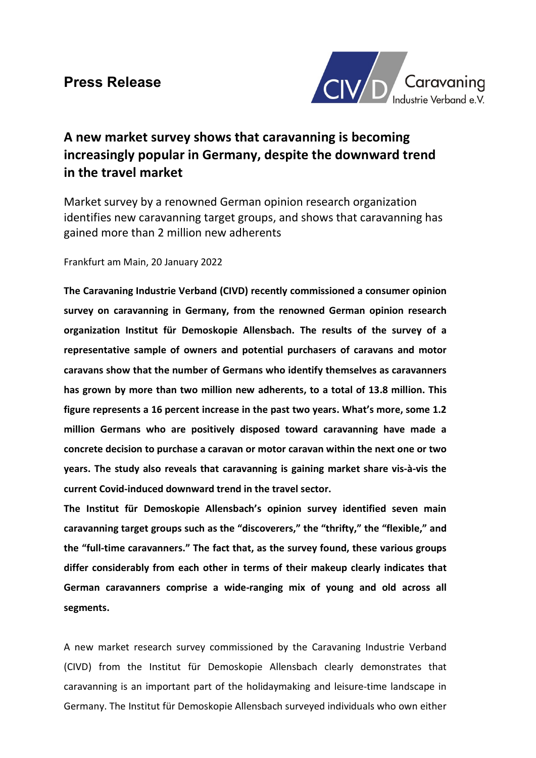

# A new market survey shows that caravanning is becoming increasingly popular in Germany, despite the downward trend in the travel market

Market survey by a renowned German opinion research organization identifies new caravanning target groups, and shows that caravanning has gained more than 2 million new adherents

## Frankfurt am Main, 20 January 2022

The Caravaning Industrie Verband (CIVD) recently commissioned a consumer opinion survey on caravanning in Germany, from the renowned German opinion research organization Institut für Demoskopie Allensbach. The results of the survey of a representative sample of owners and potential purchasers of caravans and motor caravans show that the number of Germans who identify themselves as caravanners has grown by more than two million new adherents, to a total of 13.8 million. This figure represents a 16 percent increase in the past two years. What's more, some 1.2 million Germans who are positively disposed toward caravanning have made a concrete decision to purchase a caravan or motor caravan within the next one or two years. The study also reveals that caravanning is gaining market share vis-à-vis the current Covid-induced downward trend in the travel sector.

The Institut für Demoskopie Allensbach's opinion survey identified seven main caravanning target groups such as the "discoverers," the "thrifty," the "flexible," and the "full-time caravanners." The fact that, as the survey found, these various groups differ considerably from each other in terms of their makeup clearly indicates that German caravanners comprise a wide-ranging mix of young and old across all segments.

A new market research survey commissioned by the Caravaning Industrie Verband (CIVD) from the Institut für Demoskopie Allensbach clearly demonstrates that caravanning is an important part of the holidaymaking and leisure-time landscape in Germany. The Institut für Demoskopie Allensbach surveyed individuals who own either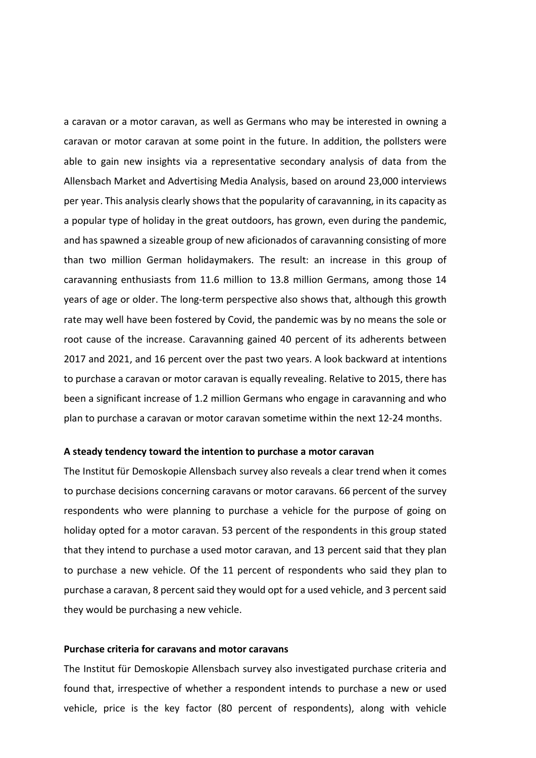a caravan or a motor caravan, as well as Germans who may be interested in owning a caravan or motor caravan at some point in the future. In addition, the pollsters were able to gain new insights via a representative secondary analysis of data from the Allensbach Market and Advertising Media Analysis, based on around 23,000 interviews per year. This analysis clearly shows that the popularity of caravanning, in its capacity as a popular type of holiday in the great outdoors, has grown, even during the pandemic, and has spawned a sizeable group of new aficionados of caravanning consisting of more than two million German holidaymakers. The result: an increase in this group of caravanning enthusiasts from 11.6 million to 13.8 million Germans, among those 14 years of age or older. The long-term perspective also shows that, although this growth rate may well have been fostered by Covid, the pandemic was by no means the sole or root cause of the increase. Caravanning gained 40 percent of its adherents between 2017 and 2021, and 16 percent over the past two years. A look backward at intentions to purchase a caravan or motor caravan is equally revealing. Relative to 2015, there has been a significant increase of 1.2 million Germans who engage in caravanning and who plan to purchase a caravan or motor caravan sometime within the next 12-24 months.

#### A steady tendency toward the intention to purchase a motor caravan

The Institut für Demoskopie Allensbach survey also reveals a clear trend when it comes to purchase decisions concerning caravans or motor caravans. 66 percent of the survey respondents who were planning to purchase a vehicle for the purpose of going on holiday opted for a motor caravan. 53 percent of the respondents in this group stated that they intend to purchase a used motor caravan, and 13 percent said that they plan to purchase a new vehicle. Of the 11 percent of respondents who said they plan to purchase a caravan, 8 percent said they would opt for a used vehicle, and 3 percent said they would be purchasing a new vehicle.

### Purchase criteria for caravans and motor caravans

The Institut für Demoskopie Allensbach survey also investigated purchase criteria and found that, irrespective of whether a respondent intends to purchase a new or used vehicle, price is the key factor (80 percent of respondents), along with vehicle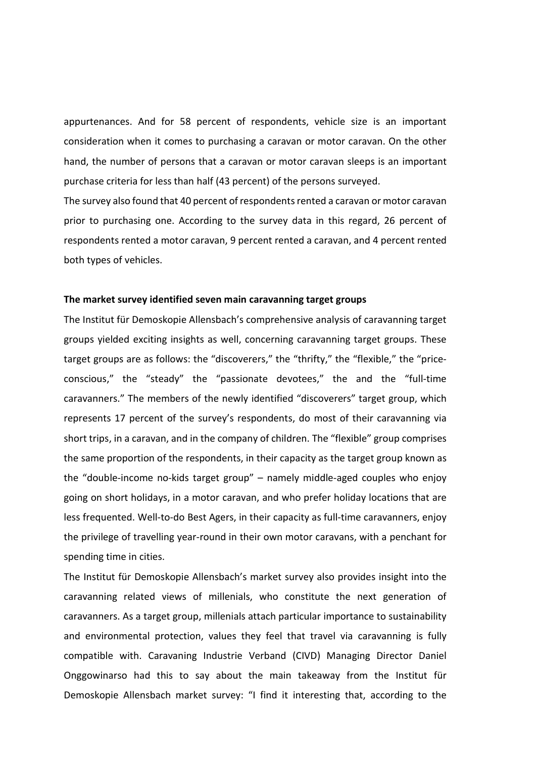appurtenances. And for 58 percent of respondents, vehicle size is an important consideration when it comes to purchasing a caravan or motor caravan. On the other hand, the number of persons that a caravan or motor caravan sleeps is an important purchase criteria for less than half (43 percent) of the persons surveyed.

The survey also found that 40 percent of respondents rented a caravan or motor caravan prior to purchasing one. According to the survey data in this regard, 26 percent of respondents rented a motor caravan, 9 percent rented a caravan, and 4 percent rented both types of vehicles.

### The market survey identified seven main caravanning target groups

The Institut für Demoskopie Allensbach's comprehensive analysis of caravanning target groups yielded exciting insights as well, concerning caravanning target groups. These target groups are as follows: the "discoverers," the "thrifty," the "flexible," the "priceconscious," the "steady" the "passionate devotees," the and the "full-time caravanners." The members of the newly identified "discoverers" target group, which represents 17 percent of the survey's respondents, do most of their caravanning via short trips, in a caravan, and in the company of children. The "flexible" group comprises the same proportion of the respondents, in their capacity as the target group known as the "double-income no-kids target group" – namely middle-aged couples who enjoy going on short holidays, in a motor caravan, and who prefer holiday locations that are less frequented. Well-to-do Best Agers, in their capacity as full-time caravanners, enjoy the privilege of travelling year-round in their own motor caravans, with a penchant for spending time in cities.

The Institut für Demoskopie Allensbach's market survey also provides insight into the caravanning related views of millenials, who constitute the next generation of caravanners. As a target group, millenials attach particular importance to sustainability and environmental protection, values they feel that travel via caravanning is fully compatible with. Caravaning Industrie Verband (CIVD) Managing Director Daniel Onggowinarso had this to say about the main takeaway from the Institut für Demoskopie Allensbach market survey: "I find it interesting that, according to the